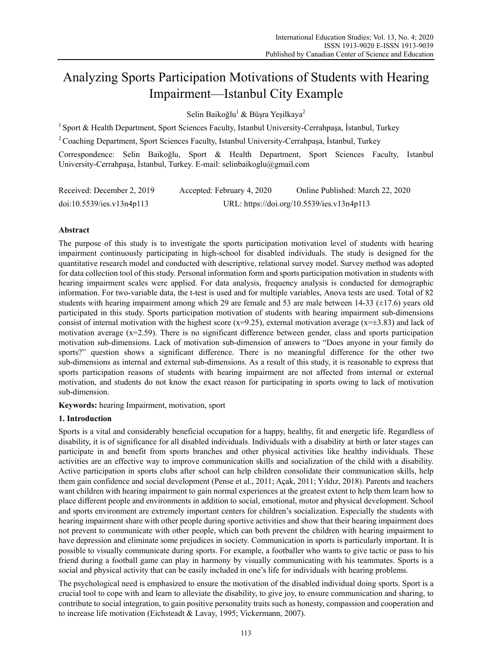# Analyzing Sports Participation Motivations of Students with Hearing Impairment—Istanbul City Example

Selin Baikoğlu<sup>1</sup> & Büşra Yeşilkaya<sup>2</sup>

<sup>1</sup> Sport & Health Department, Sport Sciences Faculty, Istanbul University-Cerrahpasa, İstanbul, Turkey

2 Coaching Department, Sport Sciences Faculty, Istanbul University-Cerrahpaşa, İstanbul, Turkey

Correspondence: Selin Baikoğlu, Sport & Health Department, Sport Sciences Faculty, Istanbul University-Cerrahpaşa, İstanbul, Turkey. E-mail: selinbaikoglu@gmail.com

| Received: December 2, 2019 | Accepted: February 4, 2020 | Online Published: March 22, 2020           |
|----------------------------|----------------------------|--------------------------------------------|
| doi:10.5539/ies.v13n4p113  |                            | URL: https://doi.org/10.5539/ies.v13n4p113 |

# **Abstract**

The purpose of this study is to investigate the sports participation motivation level of students with hearing impairment continuously participating in high-school for disabled individuals. The study is designed for the quantitative research model and conducted with descriptive, relational survey model. Survey method was adopted for data collection tool of this study. Personal information form and sports participation motivation in students with hearing impairment scales were applied. For data analysis, frequency analysis is conducted for demographic information. For two-variable data, the t-test is used and for multiple variables, Anova tests are used. Total of 82 students with hearing impairment among which 29 are female and 53 are male between  $14-33 \ (\pm 17.6)$  years old participated in this study. Sports participation motivation of students with hearing impairment sub-dimensions consist of internal motivation with the highest score (x=9.25), external motivation average (x= $\pm$ 3.83) and lack of motivation average (x=2.59). There is no significant difference between gender, class and sports participation motivation sub-dimensions. Lack of motivation sub-dimension of answers to "Does anyone in your family do sports?" question shows a significant difference. There is no meaningful difference for the other two sub-dimensions as internal and external sub-dimensions. As a result of this study, it is reasonable to express that sports participation reasons of students with hearing impairment are not affected from internal or external motivation, and students do not know the exact reason for participating in sports owing to lack of motivation sub-dimension.

**Keywords:** hearing Impairment, motivation, sport

# **1. Introduction**

Sports is a vital and considerably beneficial occupation for a happy, healthy, fit and energetic life. Regardless of disability, it is of significance for all disabled individuals. Individuals with a disability at birth or later stages can participate in and benefit from sports branches and other physical activities like healthy individuals. These activities are an effective way to improve communication skills and socialization of the child with a disability. Active participation in sports clubs after school can help children consolidate their communication skills, help them gain confidence and social development (Pense et al., 2011; Açak, 2011; Yıldız, 2018). Parents and teachers want children with hearing impairment to gain normal experiences at the greatest extent to help them learn how to place different people and environments in addition to social, emotional, motor and physical development. School and sports environment are extremely important centers for children's socialization. Especially the students with hearing impairment share with other people during sportive activities and show that their hearing impairment does not prevent to communicate with other people, which can both prevent the children with hearing impairment to have depression and eliminate some prejudices in society. Communication in sports is particularly important. It is possible to visually communicate during sports. For example, a footballer who wants to give tactic or pass to his friend during a football game can play in harmony by visually communicating with his teammates. Sports is a social and physical activity that can be easily included in one's life for individuals with hearing problems.

The psychological need is emphasized to ensure the motivation of the disabled individual doing sports. Sport is a crucial tool to cope with and learn to alleviate the disability, to give joy, to ensure communication and sharing, to contribute to social integration, to gain positive personality traits such as honesty, compassion and cooperation and to increase life motivation (Eichsteadt & Lavay, 1995; Vickermann, 2007).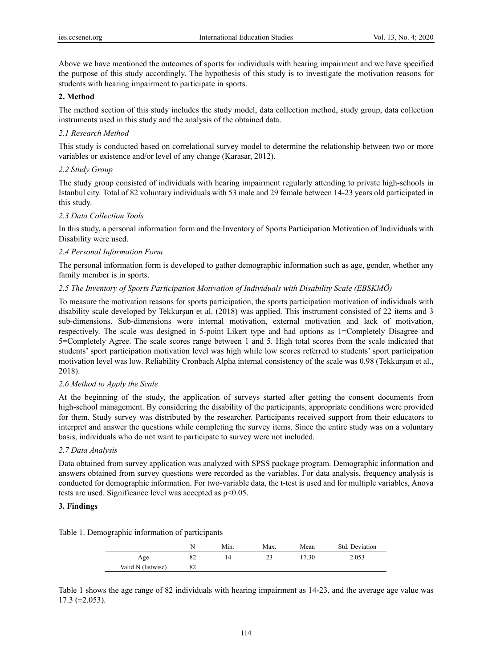Above we have mentioned the outcomes of sports for individuals with hearing impairment and we have specified the purpose of this study accordingly. The hypothesis of this study is to investigate the motivation reasons for students with hearing impairment to participate in sports.

# **2. Method**

The method section of this study includes the study model, data collection method, study group, data collection instruments used in this study and the analysis of the obtained data.

# *2.1 Research Method*

This study is conducted based on correlational survey model to determine the relationship between two or more variables or existence and/or level of any change (Karasar, 2012).

# *2.2 Study Group*

The study group consisted of individuals with hearing impairment regularly attending to private high-schools in Istanbul city. Total of 82 voluntary individuals with 53 male and 29 female between 14-23 years old participated in this study.

# *2.3 Data Collection Tools*

In this study, a personal information form and the Inventory of Sports Participation Motivation of Individuals with Disability were used.

# *2.4 Personal Information Form*

The personal information form is developed to gather demographic information such as age, gender, whether any family member is in sports.

# *2.5 The Inventory of Sports Participation Motivation of Individuals with Disability Scale (EBSKMÖ)*

To measure the motivation reasons for sports participation, the sports participation motivation of individuals with disability scale developed by Tekkurşun et al. (2018) was applied. This instrument consisted of 22 items and 3 sub-dimensions. Sub-dimensions were internal motivation, external motivation and lack of motivation, respectively. The scale was designed in 5-point Likert type and had options as 1=Completely Disagree and 5=Completely Agree. The scale scores range between 1 and 5. High total scores from the scale indicated that students' sport participation motivation level was high while low scores referred to students' sport participation motivation level was low. Reliability Cronbach Alpha internal consistency of the scale was 0.98 (Tekkurşun et al., 2018).

#### *2.6 Method to Apply the Scale*

At the beginning of the study, the application of surveys started after getting the consent documents from high-school management. By considering the disability of the participants, appropriate conditions were provided for them. Study survey was distributed by the researcher. Participants received support from their educators to interpret and answer the questions while completing the survey items. Since the entire study was on a voluntary basis, individuals who do not want to participate to survey were not included.

#### *2.7 Data Analysis*

Data obtained from survey application was analyzed with SPSS package program. Demographic information and answers obtained from survey questions were recorded as the variables. For data analysis, frequency analysis is conducted for demographic information. For two-variable data, the t-test is used and for multiple variables, Anova tests are used. Significance level was accepted as p<0.05.

#### **3. Findings**

Table 1. Demographic information of participants

|                    |    | Min. | Max. | Mean | Std. Deviation |
|--------------------|----|------|------|------|----------------|
| Age                | 82 | 4    |      | 7.30 | 2.053          |
| Valid N (listwise) | 82 |      |      |      |                |

Table 1 shows the age range of 82 individuals with hearing impairment as 14-23, and the average age value was 17.3 (±2.053).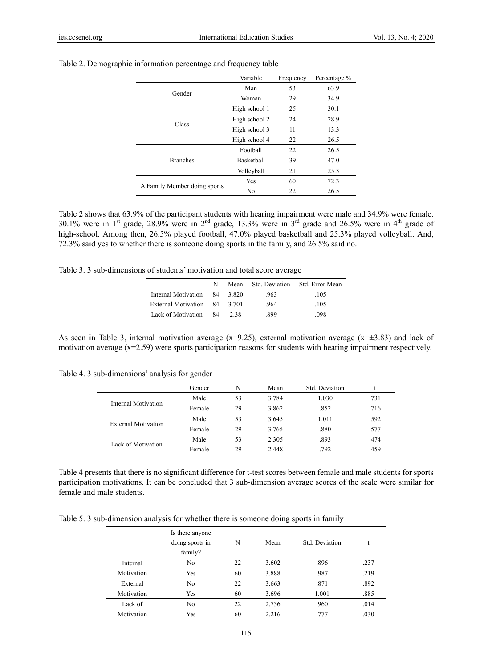|                              | Variable<br>Frequency |    | Percentage % |
|------------------------------|-----------------------|----|--------------|
| Gender                       | Man                   | 53 | 63.9         |
|                              | Woman                 | 29 | 34.9         |
|                              | High school 1         | 25 | 30.1         |
|                              | High school 2         | 24 | 28.9         |
| Class                        | High school 3         | 11 | 13.3         |
|                              | High school 4         | 22 | 26.5         |
|                              | Football              | 22 | 26.5         |
| <b>Branches</b>              | <b>Basketball</b>     | 39 | 47.0         |
|                              | Volleyball            | 21 | 25.3         |
|                              | <b>Yes</b>            | 60 | 72.3         |
| A Family Member doing sports | No                    | 22 | 26.5         |

#### Table 2. Demographic information percentage and frequency table

Table 2 shows that 63.9% of the participant students with hearing impairment were male and 34.9% were female. 30.1% were in 1<sup>st</sup> grade, 28.9% were in 2<sup>nd</sup> grade, 13.3% were in 3<sup>rd</sup> grade and 26.5% were in 4<sup>th</sup> grade of high-school. Among then, 26.5% played football, 47.0% played basketball and 25.3% played volleyball. And, 72.3% said yes to whether there is someone doing sports in the family, and 26.5% said no.

Table 3. 3 sub-dimensions of students' motivation and total score average

|                              | N |        | Mean Std. Deviation | Std. Error Mean |
|------------------------------|---|--------|---------------------|-----------------|
| Internal Motivation 84       |   | -3.820 | .963                | .105            |
| External Motivation 84 3.701 |   |        | -964                | .105            |
| Lack of Motivation 84        |   | 238    | .899                | .098            |

As seen in Table 3, internal motivation average  $(x=9.25)$ , external motivation average  $(x=\pm 3.83)$  and lack of motivation average  $(x=2.59)$  were sports participation reasons for students with hearing impairment respectively.

|  | Table 4. 3 sub-dimensions' analysis for gender |  |  |
|--|------------------------------------------------|--|--|
|  |                                                |  |  |

|                            | Gender | N  | Mean  | Std. Deviation |      |
|----------------------------|--------|----|-------|----------------|------|
|                            | Male   | 53 | 3.784 | 1.030          | .731 |
| Internal Motivation        | Female | 29 | 3.862 | .852           | .716 |
|                            | Male   | 53 | 3.645 | 1.011          | .592 |
| <b>External Motivation</b> | Female | 29 | 3.765 | .880           | .577 |
|                            | Male   | 53 | 2.305 | .893           | .474 |
| Lack of Motivation         | Female | 29 | 2.448 | .792           | .459 |

Table 4 presents that there is no significant difference for t-test scores between female and male students for sports participation motivations. It can be concluded that 3 sub-dimension average scores of the scale were similar for female and male students.

Table 5. 3 sub-dimension analysis for whether there is someone doing sports in family

|            | Is there anyone<br>doing sports in<br>family? | N  | Mean  | Std. Deviation |      |
|------------|-----------------------------------------------|----|-------|----------------|------|
| Internal   | No                                            | 22 | 3.602 | .896           | .237 |
| Motivation | Yes                                           | 60 | 3.888 | .987           | .219 |
| External   | N <sub>0</sub>                                | 22 | 3.663 | .871           | .892 |
| Motivation | Yes                                           | 60 | 3.696 | 1.001          | .885 |
| Lack of    | N <sub>0</sub>                                | 22 | 2.736 | .960           | .014 |
| Motivation | Yes                                           | 60 | 2.216 | .777           | .030 |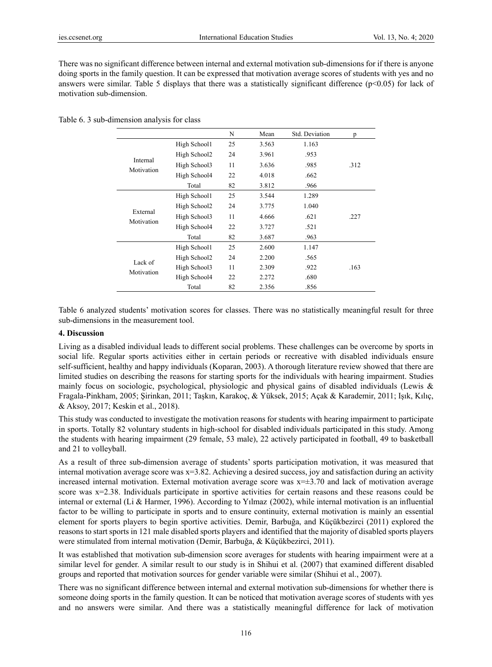There was no significant difference between internal and external motivation sub-dimensions for if there is anyone doing sports in the family question. It can be expressed that motivation average scores of students with yes and no answers were similar. Table 5 displays that there was a statistically significant difference ( $p<0.05$ ) for lack of motivation sub-dimension.

|                        |              | N  | Mean  | Std. Deviation | p    |
|------------------------|--------------|----|-------|----------------|------|
|                        | High School1 | 25 | 3.563 | 1.163          |      |
|                        | High School2 | 24 | 3.961 | .953           |      |
| Internal<br>Motivation | High School3 | 11 | 3.636 | .985           | .312 |
|                        | High School4 | 22 | 4.018 | .662           |      |
|                        | Total        | 82 | 3.812 | .966           |      |
|                        | High School1 | 25 | 3.544 | 1.289          |      |
|                        | High School2 | 24 | 3.775 | 1.040          |      |
| External               | High School3 | 11 | 4.666 | .621           | .227 |
| Motivation             | High School4 | 22 | 3.727 | .521           |      |
|                        | Total        | 82 | 3.687 | .963           |      |
|                        | High School1 | 25 | 2.600 | 1.147          |      |
| Lack of                | High School2 | 24 | 2.200 | .565           |      |
| Motivation             | High School3 | 11 | 2.309 | .922           | .163 |
|                        | High School4 | 22 | 2.272 | .680           |      |
|                        | Total        | 82 | 2.356 | .856           |      |

Table 6 analyzed students' motivation scores for classes. There was no statistically meaningful result for three sub-dimensions in the measurement tool.

# **4. Discussion**

Living as a disabled individual leads to different social problems. These challenges can be overcome by sports in social life. Regular sports activities either in certain periods or recreative with disabled individuals ensure self-sufficient, healthy and happy individuals (Koparan, 2003). A thorough literature review showed that there are limited studies on describing the reasons for starting sports for the individuals with hearing impairment. Studies mainly focus on sociologic, psychological, physiologic and physical gains of disabled individuals (Lewis & Fragala-Pinkham, 2005; Şirinkan, 2011; Taşkın, Karakoç, & Yüksek, 2015; Açak & Karademir, 2011; Işık, Kılıç, & Aksoy, 2017; Keskin et al., 2018).

This study was conducted to investigate the motivation reasons for students with hearing impairment to participate in sports. Totally 82 voluntary students in high-school for disabled individuals participated in this study. Among the students with hearing impairment (29 female, 53 male), 22 actively participated in football, 49 to basketball and 21 to volleyball.

As a result of three sub-dimension average of students' sports participation motivation, it was measured that internal motivation average score was x=3.82. Achieving a desired success, joy and satisfaction during an activity increased internal motivation. External motivation average score was  $x=\pm 3.70$  and lack of motivation average score was x=2.38. Individuals participate in sportive activities for certain reasons and these reasons could be internal or external (Li & Harmer, 1996). According to Yılmaz (2002), while internal motivation is an influential factor to be willing to participate in sports and to ensure continuity, external motivation is mainly an essential element for sports players to begin sportive activities. Demir, Barbuğa, and Küçükbezirci (2011) explored the reasons to start sports in 121 male disabled sports players and identified that the majority of disabled sports players were stimulated from internal motivation (Demir, Barbuğa, & Küçükbezirci, 2011).

It was established that motivation sub-dimension score averages for students with hearing impairment were at a similar level for gender. A similar result to our study is in Shihui et al. (2007) that examined different disabled groups and reported that motivation sources for gender variable were similar (Shihui et al., 2007).

There was no significant difference between internal and external motivation sub-dimensions for whether there is someone doing sports in the family question. It can be noticed that motivation average scores of students with yes and no answers were similar. And there was a statistically meaningful difference for lack of motivation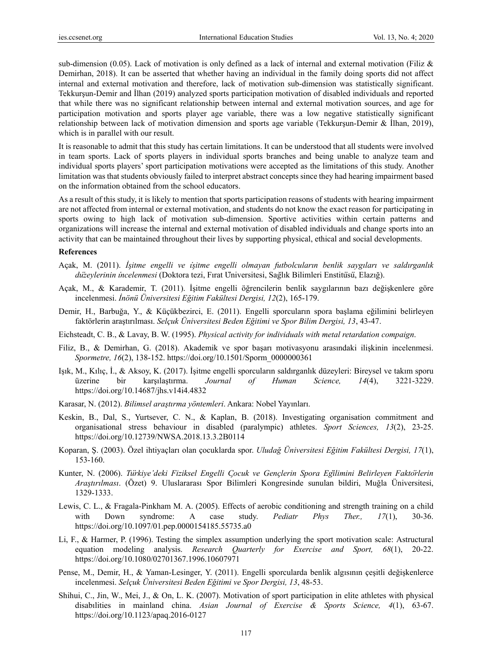sub-dimension (0.05). Lack of motivation is only defined as a lack of internal and external motivation (Filiz & Demirhan, 2018). It can be asserted that whether having an individual in the family doing sports did not affect internal and external motivation and therefore, lack of motivation sub-dimension was statistically significant. Tekkurşun-Demir and İlhan (2019) analyzed sports participation motivation of disabled individuals and reported that while there was no significant relationship between internal and external motivation sources, and age for participation motivation and sports player age variable, there was a low negative statistically significant relationship between lack of motivation dimension and sports age variable (Tekkurşun-Demir & İlhan, 2019), which is in parallel with our result.

It is reasonable to admit that this study has certain limitations. It can be understood that all students were involved in team sports. Lack of sports players in individual sports branches and being unable to analyze team and individual sports players' sport participation motivations were accepted as the limitations of this study. Another limitation was that students obviously failed to interpret abstract concepts since they had hearing impairment based on the information obtained from the school educators.

As a result of this study, it is likely to mention that sports participation reasons of students with hearing impairment are not affected from internal or external motivation, and students do not know the exact reason for participating in sports owing to high lack of motivation sub-dimension. Sportive activities within certain patterns and organizations will increase the internal and external motivation of disabled individuals and change sports into an activity that can be maintained throughout their lives by supporting physical, ethical and social developments.

#### **References**

- Açak, M. (2011). *İs*̧*itme engelli ve ı*̇*s*̧*itme engelli olmayan futbolcuların benlik saygıları ve saldırganlık du*̈*zeylerinin ı*̇*ncelenmesi* (Doktora tezi, Fırat Üniversitesi, Sağlık Bilimleri Enstitüsü, Elazığ).
- Açak, M., & Karademir, T. (2011). İşitme engelli öğrencilerin benlik saygılarının bazı değişkenlere göre incelenmesi. *İnönü Üniversitesi Eğitim Fakültesi Dergisi, 12*(2), 165-179.
- Demir, H., Barbuğa, Y., & Küçükbezirci, E. (2011). Engelli sporcuların spora başlama eğilimini belirleyen faktörlerin araştırılması. *Selçuk Üniversitesi Beden Eğitimi ve Spor Bilim Dergisi, 13*, 43-47.
- Eichsteadt, C. B., & Lavay, B. W. (1995). *Physical activity for individuals with metal retardation compaign*.
- Filiz, B., & Demirhan, G. (2018). Akademik ve spor başarı motivasyonu arasındaki ilişkinin incelenmesi. *Spormetre, 16*(2), 138-152. https://doi.org/10.1501/Sporm\_0000000361
- Işık, M., Kılıç, İ., & Aksoy, K. (2017). İşitme engelli sporcuların saldırganlık düzeyleri: Bireysel ve takım sporu üzerine bir karşılaştırma. *Journal of Human Science, 14*(4), 3221-3229. https://doi.org/10.14687/jhs.v14i4.4832
- Karasar, N. (2012). *Bilimsel araştırma yöntemleri*. Ankara: Nobel Yayınları.
- Keskin, B., Dal, S., Yurtsever, C. N., & Kaplan, B. (2018). Investigating organisation commitment and organisational stress behaviour in disabled (paralympic) athletes. *Sport Sciences, 13*(2), 23-25. https://doi.org/10.12739/NWSA.2018.13.3.2B0114
- Koparan, Ş. (2003). Özel ihtiyaçları olan çocuklarda spor. *Uludağ Üniversitesi Eğitim Fakültesi Dergisi, 17*(1), 153-160.
- Kunter, N. (2006). *Tu*̈*rkiye'deki Fiziksel Engelli C*̧*ocuk ve Genc*̧*lerin Spora Eg*̆*ilimini Belirleyen Fakto*̈*rlerin Aras*̧*tırılması*. (Özet) 9. Uluslararası Spor Bilimleri Kongresinde sunulan bildiri, Muğla Üniversitesi, 1329-1333.
- Lewis, C. L., & Fragala-Pinkham M. A. (2005). Effects of aerobic conditioning and strength training on a child with Down syndrome: A case study. *Pediatr Phys Ther., 17*(1), 30-36. https://doi.org/10.1097/01.pep.0000154185.55735.a0
- Li, F., & Harmer, P. (1996). Testing the simplex assumption underlying the sport motivation scale: Astructural equation modeling analysis. *Research Quarterly for Exercise and Sport, 68*(1), 20-22. https://doi.org/10.1080/02701367.1996.10607971
- Pense, M., Demir, H., & Yaman-Lesinger, Y. (2011). Engelli sporcularda benlik algısının çeşitli değişkenlerce incelenmesi. *Selçuk Üniversitesi Beden Eğitimi ve Spor Dergisi, 13*, 48-53.
- Shihui, C., Jin, W., Mei, J., & On, L. K. (2007). Motivation of sport participation in elite athletes with physical disabılities in mainland china. *Asian Journal of Exercise & Sports Science, 4*(1), 63-67. https://doi.org/10.1123/apaq.2016-0127